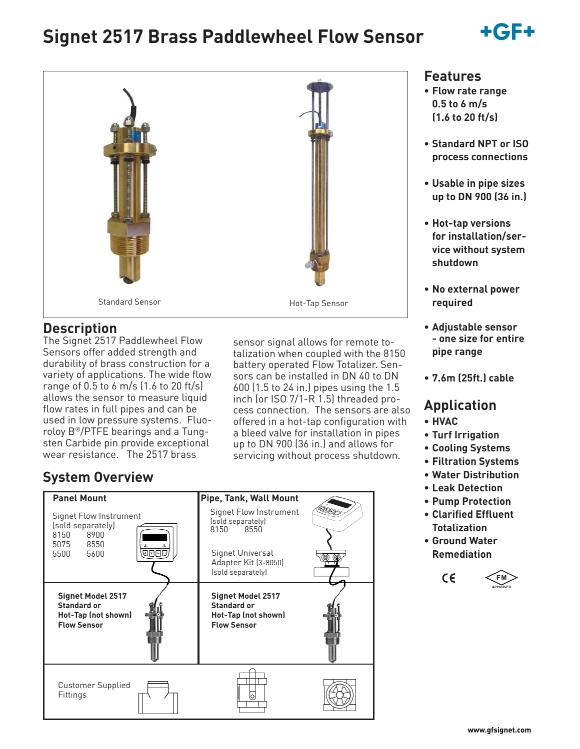# **Signet 2517 Brass Paddlewheel Flow Sensor**





### **Description**

The Signet 2517 Paddlewheel Flow Sensors offer added strength and durability of brass construction for a variety of applications. The wide flow range of 0.5 to 6 m/s (1.6 to 20 ft/s) allows the sensor to measure liquid flow rates in full pipes and can be used in low pressure systems. Fluoroloy B®/PTFE bearings and a Tungsten Carbide pin provide exceptional wear resistance. The 2517 brass

sensor signal allows for remote totalization when coupled with the 8150 battery operated Flow Totalizer. Sensors can be installed in DN 40 to DN 600 (1.5 to 24 in.) pipes using the 1.5 inch (or ISO 7/1-R 1.5) threaded process connection. The sensors are also offered in a hot-tap configuration with a bleed valve for installation in pipes up to DN 900 (36 in.) and allows for servicing without process shutdown.

# **System Overview**

| <b>Panel Mount</b>                                                                          | Pipe, Tank, Wall Mount                                                               |  |
|---------------------------------------------------------------------------------------------|--------------------------------------------------------------------------------------|--|
| Signet Flow Instrument<br>(sold separately)<br>8150<br>8900                                 | Signet Flow Instrument<br>(sold separately)<br>8150<br>8550                          |  |
| 5075 8550<br><b>@DDD</b><br>5500 5600                                                       | Signet Universal<br>Adapter Kit (3-8050)<br>(sold separately)                        |  |
| <b>Signet Model 2517</b><br><b>Standard or</b><br>Hot-Tap (not shown)<br><b>Flow Sensor</b> | <b>Signet Model 2517</b><br>Standard or<br>Hot-Tap (not shown)<br><b>Flow Sensor</b> |  |
| <b>Customer Supplied</b><br>Fittings                                                        | O                                                                                    |  |

### **Features**

- **Flow rate range 0.5 to 6 m/s (1.6 to 20 ft/s)**
- **Standard NPT or ISO process connections**
- **Usable in pipe sizes up to DN 900 (36 in.)**
- **Hot-tap versions for installation/service without system shutdown**
- **No external power required**
- **Adjustable sensor - one size for entire pipe range**
- **7.6m (25ft.) cable**

# **Application**

- **HVAC**
- **Turf Irrigation**
- **Cooling Systems**
- **Filtration Systems**
- **Water Distribution**
- **Leak Detection**
- **Pump Protection**
- **Clarified Effluent Totalization**
- **Ground Water Remediation**

 $C \in$